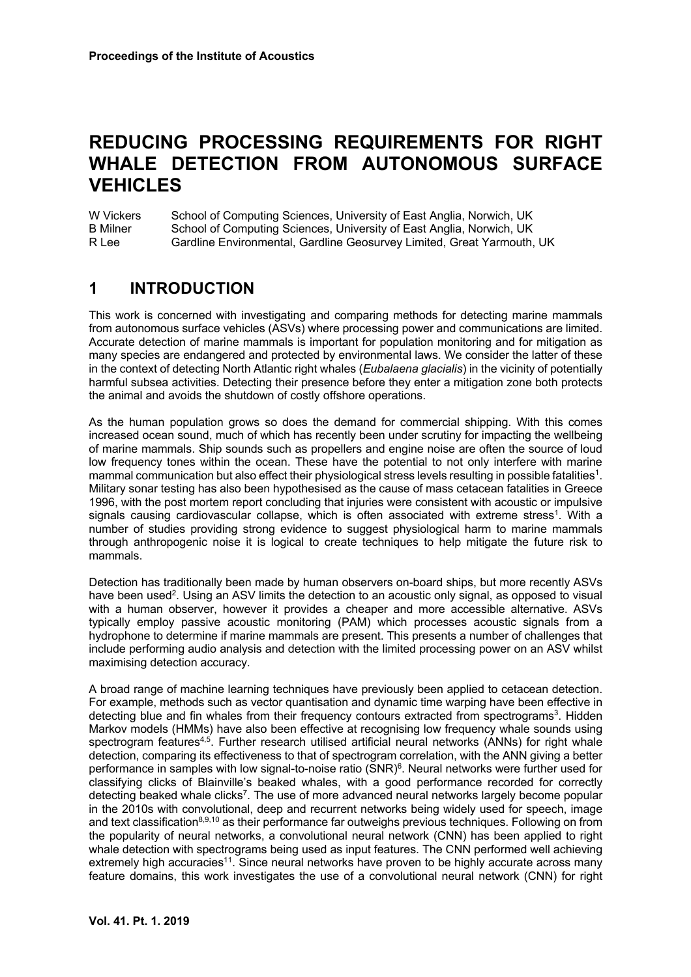# **REDUCING PROCESSING REQUIREMENTS FOR RIGHT WHALE DETECTION FROM AUTONOMOUS SURFACE VEHICLES**

W Vickers School of Computing Sciences, University of East Anglia, Norwich, UK B Milner School of Computing Sciences, University of East Anglia, Norwich, UK R Lee Gardline Environmental, Gardline Geosurvey Limited, Great Yarmouth, UK

### **1 INTRODUCTION**

This work is concerned with investigating and comparing methods for detecting marine mammals from autonomous surface vehicles (ASVs) where processing power and communications are limited. Accurate detection of marine mammals is important for population monitoring and for mitigation as many species are endangered and protected by environmental laws. We consider the latter of these in the context of detecting North Atlantic right whales (*Eubalaena glacialis*) in the vicinity of potentially harmful subsea activities. Detecting their presence before they enter a mitigation zone both protects the animal and avoids the shutdown of costly offshore operations.

As the human population grows so does the demand for commercial shipping. With this comes increased ocean sound, much of which has recently been under scrutiny for impacting the wellbeing of marine mammals. Ship sounds such as propellers and engine noise are often the source of loud low frequency tones within the ocean. These have the potential to not only interfere with marine mammal communication but also effect their physiological stress levels resulting in possible fatalities<sup>1</sup>. Military sonar testing has also been hypothesised as the cause of mass cetacean fatalities in Greece 1996, with the post mortem report concluding that injuries were consistent with acoustic or impulsive signals causing cardiovascular collapse, which is often associated with extreme stress1. With a number of studies providing strong evidence to suggest physiological harm to marine mammals through anthropogenic noise it is logical to create techniques to help mitigate the future risk to mammals.

Detection has traditionally been made by human observers on-board ships, but more recently ASVs have been used<sup>2</sup>. Using an ASV limits the detection to an acoustic only signal, as opposed to visual with a human observer, however it provides a cheaper and more accessible alternative. ASVs typically employ passive acoustic monitoring (PAM) which processes acoustic signals from a hydrophone to determine if marine mammals are present. This presents a number of challenges that include performing audio analysis and detection with the limited processing power on an ASV whilst maximising detection accuracy.

A broad range of machine learning techniques have previously been applied to cetacean detection. For example, methods such as vector quantisation and dynamic time warping have been effective in detecting blue and fin whales from their frequency contours extracted from spectrograms<sup>3</sup>. Hidden Markov models (HMMs) have also been effective at recognising low frequency whale sounds using spectrogram features<sup>4,5</sup>. Further research utilised artificial neural networks (ANNs) for right whale detection, comparing its effectiveness to that of spectrogram correlation, with the ANN giving a better performance in samples with low signal-to-noise ratio (SNR)<sup>6</sup>. Neural networks were further used for classifying clicks of Blainville's beaked whales, with a good performance recorded for correctly detecting beaked whale clicks<sup>7</sup>. The use of more advanced neural networks largely become popular in the 2010s with convolutional, deep and recurrent networks being widely used for speech, image and text classification<sup>8,9,10</sup> as their performance far outweighs previous techniques. Following on from the popularity of neural networks, a convolutional neural network (CNN) has been applied to right whale detection with spectrograms being used as input features. The CNN performed well achieving extremely high accuracies<sup>11</sup>. Since neural networks have proven to be highly accurate across many feature domains, this work investigates the use of a convolutional neural network (CNN) for right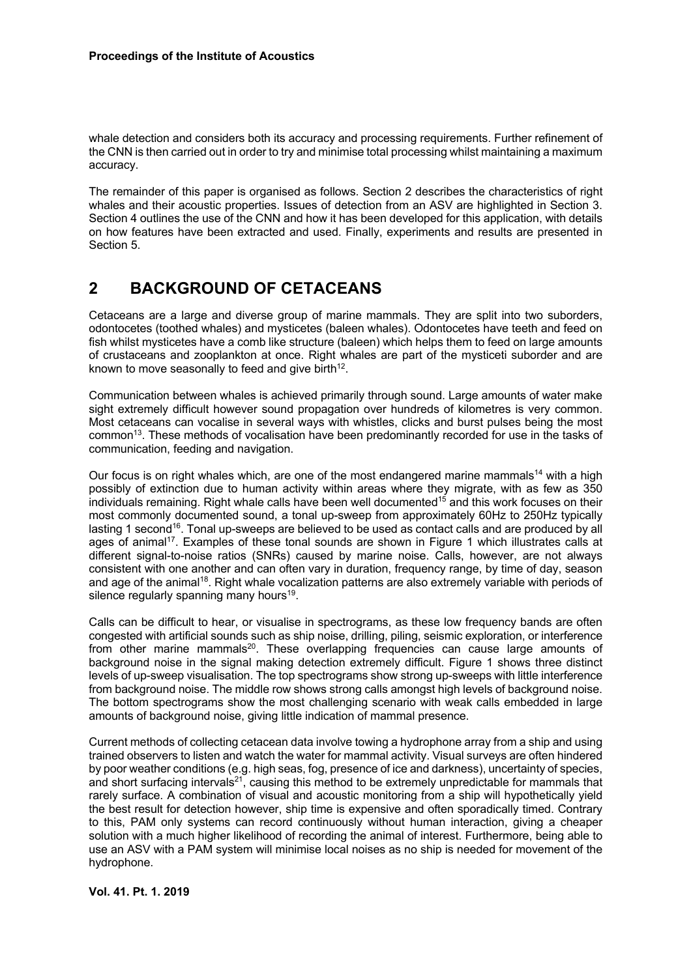whale detection and considers both its accuracy and processing requirements. Further refinement of the CNN is then carried out in order to try and minimise total processing whilst maintaining a maximum accuracy.

The remainder of this paper is organised as follows. Section 2 describes the characteristics of right whales and their acoustic properties. Issues of detection from an ASV are highlighted in Section 3. Section 4 outlines the use of the CNN and how it has been developed for this application, with details on how features have been extracted and used. Finally, experiments and results are presented in Section 5.

#### **2 BACKGROUND OF CETACEANS**

Cetaceans are a large and diverse group of marine mammals. They are split into two suborders, odontocetes (toothed whales) and mysticetes (baleen whales). Odontocetes have teeth and feed on fish whilst mysticetes have a comb like structure (baleen) which helps them to feed on large amounts of crustaceans and zooplankton at once. Right whales are part of the mysticeti suborder and are known to move seasonally to feed and give birth<sup>12</sup>.

Communication between whales is achieved primarily through sound. Large amounts of water make sight extremely difficult however sound propagation over hundreds of kilometres is very common. Most cetaceans can vocalise in several ways with whistles, clicks and burst pulses being the most common<sup>13</sup>. These methods of vocalisation have been predominantly recorded for use in the tasks of communication, feeding and navigation.

Our focus is on right whales which, are one of the most endangered marine mammals<sup>14</sup> with a high possibly of extinction due to human activity within areas where they migrate, with as few as 350 individuals remaining. Right whale calls have been well documented<sup>15</sup> and this work focuses on their most commonly documented sound, a tonal up-sweep from approximately 60Hz to 250Hz typically lasting 1 second<sup>16</sup>. Tonal up-sweeps are believed to be used as contact calls and are produced by all ages of animal<sup>17</sup>. Examples of these tonal sounds are shown in Figure 1 which illustrates calls at different signal-to-noise ratios (SNRs) caused by marine noise. Calls, however, are not always consistent with one another and can often vary in duration, frequency range, by time of day, season and age of the animal<sup>18</sup>. Right whale vocalization patterns are also extremely variable with periods of silence regularly spanning many hours<sup>19</sup>.

Calls can be difficult to hear, or visualise in spectrograms, as these low frequency bands are often congested with artificial sounds such as ship noise, drilling, piling, seismic exploration, or interference from other marine mammals<sup>20</sup>. These overlapping frequencies can cause large amounts of background noise in the signal making detection extremely difficult. Figure 1 shows three distinct levels of up-sweep visualisation. The top spectrograms show strong up-sweeps with little interference from background noise. The middle row shows strong calls amongst high levels of background noise. The bottom spectrograms show the most challenging scenario with weak calls embedded in large amounts of background noise, giving little indication of mammal presence.

Current methods of collecting cetacean data involve towing a hydrophone array from a ship and using trained observers to listen and watch the water for mammal activity. Visual surveys are often hindered by poor weather conditions (e.g. high seas, fog, presence of ice and darkness), uncertainty of species, and short surfacing intervals<sup>21</sup>, causing this method to be extremely unpredictable for mammals that rarely surface. A combination of visual and acoustic monitoring from a ship will hypothetically yield the best result for detection however, ship time is expensive and often sporadically timed. Contrary to this, PAM only systems can record continuously without human interaction, giving a cheaper solution with a much higher likelihood of recording the animal of interest. Furthermore, being able to use an ASV with a PAM system will minimise local noises as no ship is needed for movement of the hydrophone.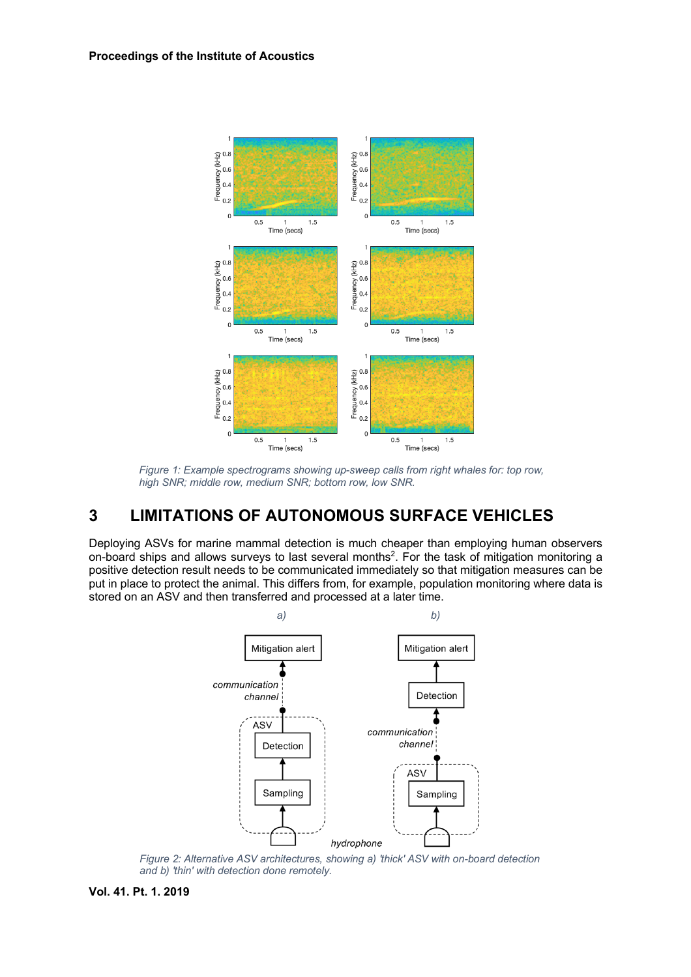

*Figure 1: Example spectrograms showing up-sweep calls from right whales for: top row, high SNR; middle row, medium SNR; bottom row, low SNR.*

# **3 LIMITATIONS OF AUTONOMOUS SURFACE VEHICLES**

Deploying ASVs for marine mammal detection is much cheaper than employing human observers on-board ships and allows surveys to last several months<sup>2</sup>. For the task of mitigation monitoring a positive detection result needs to be communicated immediately so that mitigation measures can be put in place to protect the animal. This differs from, for example, population monitoring where data is stored on an ASV and then transferred and processed at a later time.



*Figure 2: Alternative ASV architectures, showing a) 'thick' ASV with on-board detection and b) 'thin' with detection done remotely.*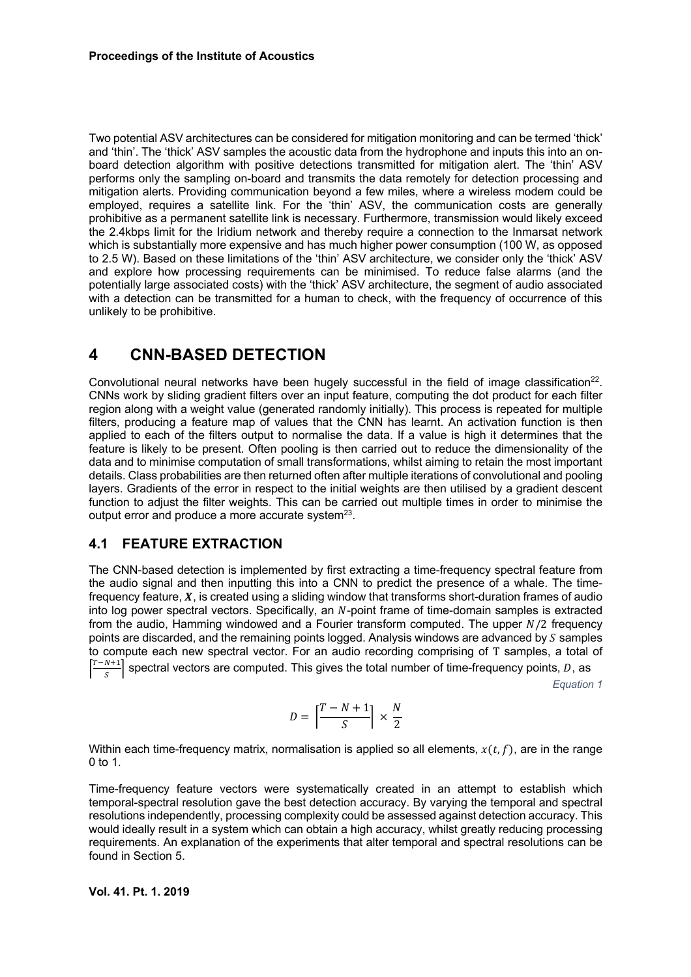Two potential ASV architectures can be considered for mitigation monitoring and can be termed 'thick' and 'thin'. The 'thick' ASV samples the acoustic data from the hydrophone and inputs this into an onboard detection algorithm with positive detections transmitted for mitigation alert. The 'thin' ASV performs only the sampling on-board and transmits the data remotely for detection processing and mitigation alerts. Providing communication beyond a few miles, where a wireless modem could be employed, requires a satellite link. For the 'thin' ASV, the communication costs are generally prohibitive as a permanent satellite link is necessary. Furthermore, transmission would likely exceed the 2.4kbps limit for the Iridium network and thereby require a connection to the Inmarsat network which is substantially more expensive and has much higher power consumption (100 W, as opposed to 2.5 W). Based on these limitations of the 'thin' ASV architecture, we consider only the 'thick' ASV and explore how processing requirements can be minimised. To reduce false alarms (and the potentially large associated costs) with the 'thick' ASV architecture, the segment of audio associated with a detection can be transmitted for a human to check, with the frequency of occurrence of this unlikely to be prohibitive.

#### **4 CNN-BASED DETECTION**

Convolutional neural networks have been hugely successful in the field of image classification<sup>22</sup>. CNNs work by sliding gradient filters over an input feature, computing the dot product for each filter region along with a weight value (generated randomly initially). This process is repeated for multiple filters, producing a feature map of values that the CNN has learnt. An activation function is then applied to each of the filters output to normalise the data. If a value is high it determines that the feature is likely to be present. Often pooling is then carried out to reduce the dimensionality of the data and to minimise computation of small transformations, whilst aiming to retain the most important details. Class probabilities are then returned often after multiple iterations of convolutional and pooling layers. Gradients of the error in respect to the initial weights are then utilised by a gradient descent function to adjust the filter weights. This can be carried out multiple times in order to minimise the output error and produce a more accurate system<sup>23</sup>.

#### **4.1 FEATURE EXTRACTION**

The CNN-based detection is implemented by first extracting a time-frequency spectral feature from the audio signal and then inputting this into a CNN to predict the presence of a whale. The timefrequency feature,  $X$ , is created using a sliding window that transforms short-duration frames of audio into log power spectral vectors. Specifically, an N-point frame of time-domain samples is extracted from the audio, Hamming windowed and a Fourier transform computed. The upper  $N/2$  frequency points are discarded, and the remaining points logged. Analysis windows are advanced by  $S$  samples to compute each new spectral vector. For an audio recording comprising of T samples, a total of |<br>|  $\left\lfloor \frac{T-N+1}{S} \right\rfloor$  spectral vectors are computed. This gives the total number of time-frequency points, D, as

*Equation 1*

$$
D = \left\lceil \frac{T-N+1}{S} \right\rceil \times \frac{N}{2}
$$

Within each time-frequency matrix, normalisation is applied so all elements,  $x(t, f)$ , are in the range 0 to 1.

Time-frequency feature vectors were systematically created in an attempt to establish which temporal-spectral resolution gave the best detection accuracy. By varying the temporal and spectral resolutions independently, processing complexity could be assessed against detection accuracy. This would ideally result in a system which can obtain a high accuracy, whilst greatly reducing processing requirements. An explanation of the experiments that alter temporal and spectral resolutions can be found in Section 5.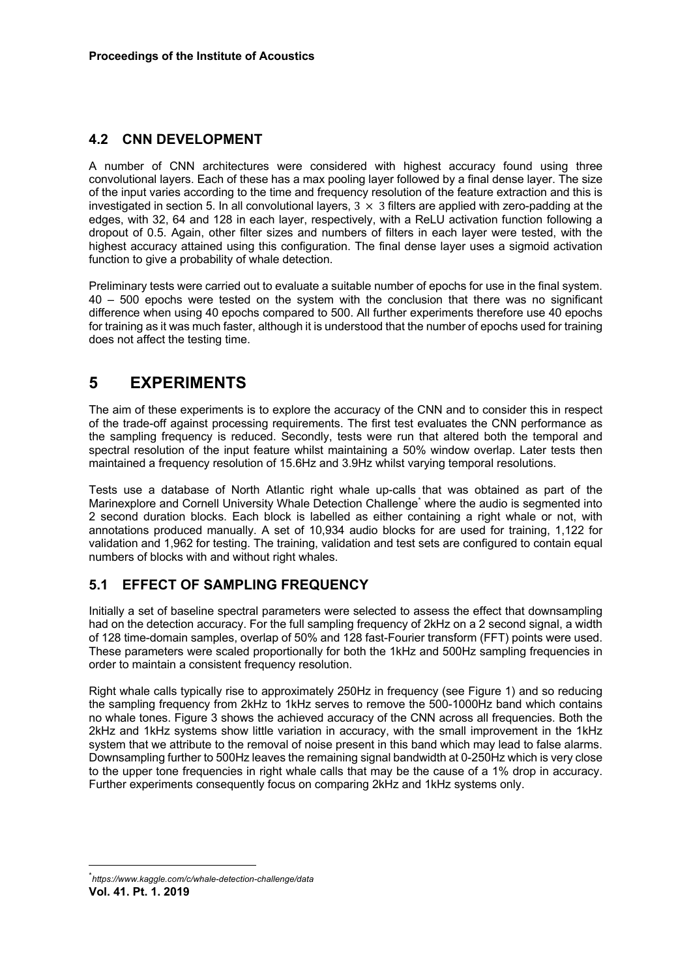### **4.2 CNN DEVELOPMENT**

A number of CNN architectures were considered with highest accuracy found using three convolutional layers. Each of these has a max pooling layer followed by a final dense layer. The size of the input varies according to the time and frequency resolution of the feature extraction and this is investigated in section 5. In all convolutional layers,  $3 \times 3$  filters are applied with zero-padding at the edges, with 32, 64 and 128 in each layer, respectively, with a ReLU activation function following a dropout of 0.5. Again, other filter sizes and numbers of filters in each layer were tested, with the highest accuracy attained using this configuration. The final dense layer uses a sigmoid activation function to give a probability of whale detection.

Preliminary tests were carried out to evaluate a suitable number of epochs for use in the final system. 40 – 500 epochs were tested on the system with the conclusion that there was no significant difference when using 40 epochs compared to 500. All further experiments therefore use 40 epochs for training as it was much faster, although it is understood that the number of epochs used for training does not affect the testing time.

## **5 EXPERIMENTS**

The aim of these experiments is to explore the accuracy of the CNN and to consider this in respect of the trade-off against processing requirements. The first test evaluates the CNN performance as the sampling frequency is reduced. Secondly, tests were run that altered both the temporal and spectral resolution of the input feature whilst maintaining a 50% window overlap. Later tests then maintained a frequency resolution of 15.6Hz and 3.9Hz whilst varying temporal resolutions.

Tests use a database of North Atlantic right whale up-calls that was obtained as part of the Marinexplore and Cornell University Whale Detection Challenge\* where the audio is segmented into 2 second duration blocks. Each block is labelled as either containing a right whale or not, with annotations produced manually. A set of 10,934 audio blocks for are used for training, 1,122 for validation and 1,962 for testing. The training, validation and test sets are configured to contain equal numbers of blocks with and without right whales.

#### **5.1 EFFECT OF SAMPLING FREQUENCY**

Initially a set of baseline spectral parameters were selected to assess the effect that downsampling had on the detection accuracy. For the full sampling frequency of 2kHz on a 2 second signal, a width of 128 time-domain samples, overlap of 50% and 128 fast-Fourier transform (FFT) points were used. These parameters were scaled proportionally for both the 1kHz and 500Hz sampling frequencies in order to maintain a consistent frequency resolution.

Right whale calls typically rise to approximately 250Hz in frequency (see Figure 1) and so reducing the sampling frequency from 2kHz to 1kHz serves to remove the 500-1000Hz band which contains no whale tones. Figure 3 shows the achieved accuracy of the CNN across all frequencies. Both the 2kHz and 1kHz systems show little variation in accuracy, with the small improvement in the 1kHz system that we attribute to the removal of noise present in this band which may lead to false alarms. Downsampling further to 500Hz leaves the remaining signal bandwidth at 0-250Hz which is very close to the upper tone frequencies in right whale calls that may be the cause of a 1% drop in accuracy. Further experiments consequently focus on comparing 2kHz and 1kHz systems only.

**Vol. 41. Pt. 1. 2019** \* *https://www.kaggle.com/c/whale-detection-challenge/data*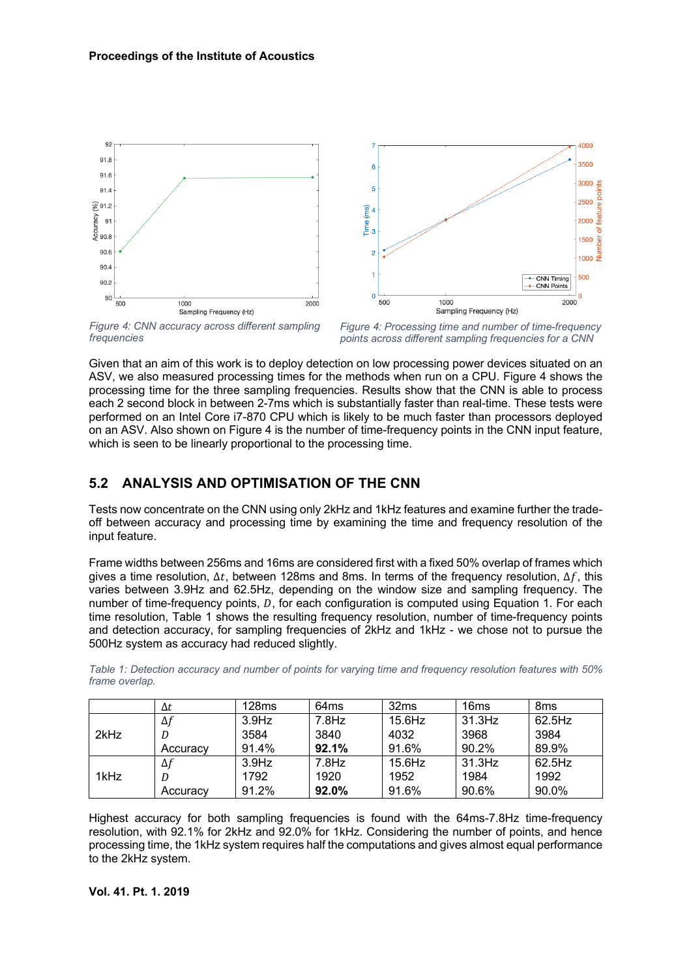



*Figure 4: CNN accuracy across different sampling frequencies*

*Figure 4: Processing time and number of time-frequency points across different sampling frequencies for a CNN*

Given that an aim of this work is to deploy detection on low processing power devices situated on an ASV, we also measured processing times for the methods when run on a CPU. Figure 4 shows the processing time for the three sampling frequencies. Results show that the CNN is able to process each 2 second block in between 2-7ms which is substantially faster than real-time. These tests were performed on an Intel Core i7-870 CPU which is likely to be much faster than processors deployed on an ASV. Also shown on Figure 4 is the number of time-frequency points in the CNN input feature, which is seen to be linearly proportional to the processing time.

#### **5.2 ANALYSIS AND OPTIMISATION OF THE CNN**

Tests now concentrate on the CNN using only 2kHz and 1kHz features and examine further the tradeoff between accuracy and processing time by examining the time and frequency resolution of the input feature.

Frame widths between 256ms and 16ms are considered first with a fixed 50% overlap of frames which gives a time resolution,  $\Delta t$ , between 128ms and 8ms. In terms of the frequency resolution,  $\Delta f$ , this varies between 3.9Hz and 62.5Hz, depending on the window size and sampling frequency. The number of time-frequency points,  $D$ , for each configuration is computed using Equation 1. For each time resolution, Table 1 shows the resulting frequency resolution, number of time-frequency points and detection accuracy, for sampling frequencies of 2kHz and 1kHz - we chose not to pursue the 500Hz system as accuracy had reduced slightly.

|      | Δt         | 128ms    | 64ms     | 32ms      | 16 <sub>ms</sub> | 8ms    |
|------|------------|----------|----------|-----------|------------------|--------|
| 2kHz | $\Delta f$ | $3.9$ Hz | $7.8$ Hz | $15.6$ Hz | 31.3Hz           | 62.5Hz |
|      |            | 3584     | 3840     | 4032      | 3968             | 3984   |
|      | Accuracy   | 91.4%    | 92.1%    | 91.6%     | 90.2%            | 89.9%  |
| 1kHz | $\Delta f$ | $3.9$ Hz | $7.8$ Hz | $15.6$ Hz | 31.3Hz           | 62.5Hz |
|      |            | 1792     | 1920     | 1952      | 1984             | 1992   |
|      | Accuracv   | 91.2%    | $92.0\%$ | 91.6%     | 90.6%            | 90.0%  |

*Table 1: Detection accuracy and number of points for varying time and frequency resolution features with 50% frame overlap.*

Highest accuracy for both sampling frequencies is found with the 64ms-7.8Hz time-frequency resolution, with 92.1% for 2kHz and 92.0% for 1kHz. Considering the number of points, and hence processing time, the 1kHz system requires half the computations and gives almost equal performance to the 2kHz system.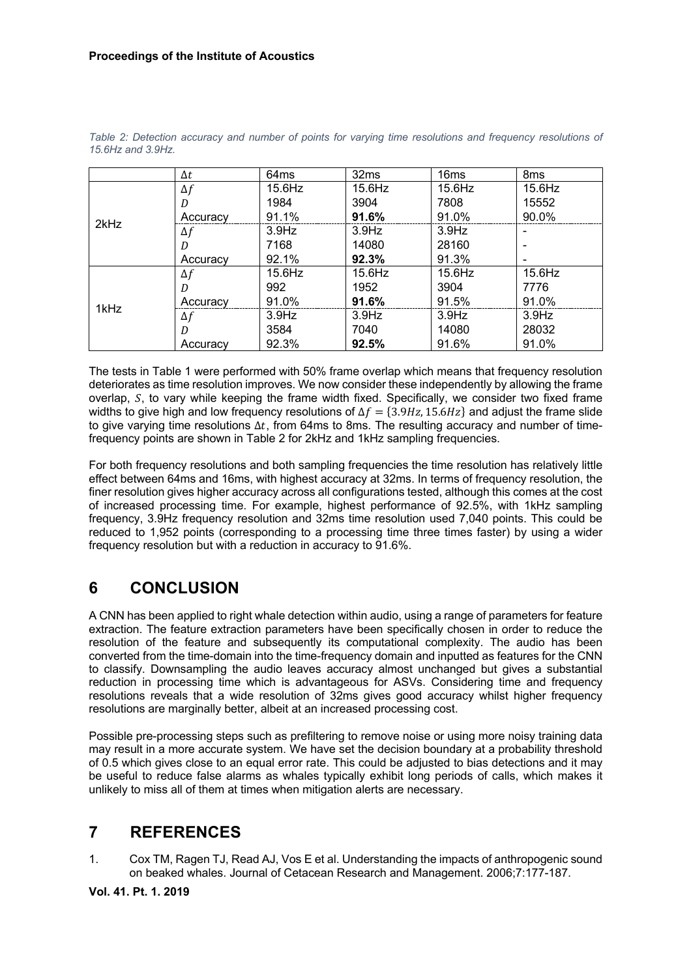|      | $\Delta t$ | 64ms      | 32ms     | 16 <sub>ms</sub> | 8 <sub>ms</sub> |
|------|------------|-----------|----------|------------------|-----------------|
|      | $\Delta f$ | $15.6$ Hz | 15.6Hz   | $15.6$ Hz        | $15.6$ Hz       |
|      | D          | 1984      | 3904     | 7808             | 15552           |
|      | Accuracy   | 91.1%     | 91.6%    | 91.0%            | 90.0%           |
| 2kHz | $\Delta f$ | $3.9$ Hz  | $3.9$ Hz | $3.9$ Hz         | $\qquad \qquad$ |
|      | D          | 7168      | 14080    | 28160            |                 |
|      | Accuracy   | 92.1%     | 92.3%    | 91.3%            | $\,$            |
|      | $\Delta f$ | $15.6$ Hz | 15.6Hz   | $15.6$ Hz        | $15.6$ Hz       |
|      | D          | 992       | 1952     | 3904             | 7776            |
|      | Accuracy   | 91.0%     | 91.6%    | 91.5%            | 91.0%           |
| 1kHz | $\Delta f$ | $3.9$ Hz  | $3.9$ Hz | $3.9$ Hz         | $3.9$ Hz        |
|      | D          | 3584      | 7040     | 14080            | 28032           |
|      | Accuracy   | 92.3%     | 92.5%    | 91.6%            | 91.0%           |

*Table 2: Detection accuracy and number of points for varying time resolutions and frequency resolutions of 15.6Hz and 3.9Hz.*

The tests in Table 1 were performed with 50% frame overlap which means that frequency resolution deteriorates as time resolution improves. We now consider these independently by allowing the frame overlap,  $S$ , to vary while keeping the frame width fixed. Specifically, we consider two fixed frame widths to give high and low frequency resolutions of  $\Delta f = \{3.9 Hz, 15.6 Hz\}$  and adjust the frame slide to give varying time resolutions  $\Delta t$ , from 64ms to 8ms. The resulting accuracy and number of timefrequency points are shown in Table 2 for 2kHz and 1kHz sampling frequencies.

For both frequency resolutions and both sampling frequencies the time resolution has relatively little effect between 64ms and 16ms, with highest accuracy at 32ms. In terms of frequency resolution, the finer resolution gives higher accuracy across all configurations tested, although this comes at the cost of increased processing time. For example, highest performance of 92.5%, with 1kHz sampling frequency, 3.9Hz frequency resolution and 32ms time resolution used 7,040 points. This could be reduced to 1,952 points (corresponding to a processing time three times faster) by using a wider frequency resolution but with a reduction in accuracy to 91.6%.

# **6 CONCLUSION**

A CNN has been applied to right whale detection within audio, using a range of parameters for feature extraction. The feature extraction parameters have been specifically chosen in order to reduce the resolution of the feature and subsequently its computational complexity. The audio has been converted from the time-domain into the time-frequency domain and inputted as features for the CNN to classify. Downsampling the audio leaves accuracy almost unchanged but gives a substantial reduction in processing time which is advantageous for ASVs. Considering time and frequency resolutions reveals that a wide resolution of 32ms gives good accuracy whilst higher frequency resolutions are marginally better, albeit at an increased processing cost.

Possible pre-processing steps such as prefiltering to remove noise or using more noisy training data may result in a more accurate system. We have set the decision boundary at a probability threshold of 0.5 which gives close to an equal error rate. This could be adjusted to bias detections and it may be useful to reduce false alarms as whales typically exhibit long periods of calls, which makes it unlikely to miss all of them at times when mitigation alerts are necessary.

# **7 REFERENCES**

1. Cox TM, Ragen TJ, Read AJ, Vos E et al. Understanding the impacts of anthropogenic sound on beaked whales. Journal of Cetacean Research and Management. 2006;7:177-187.